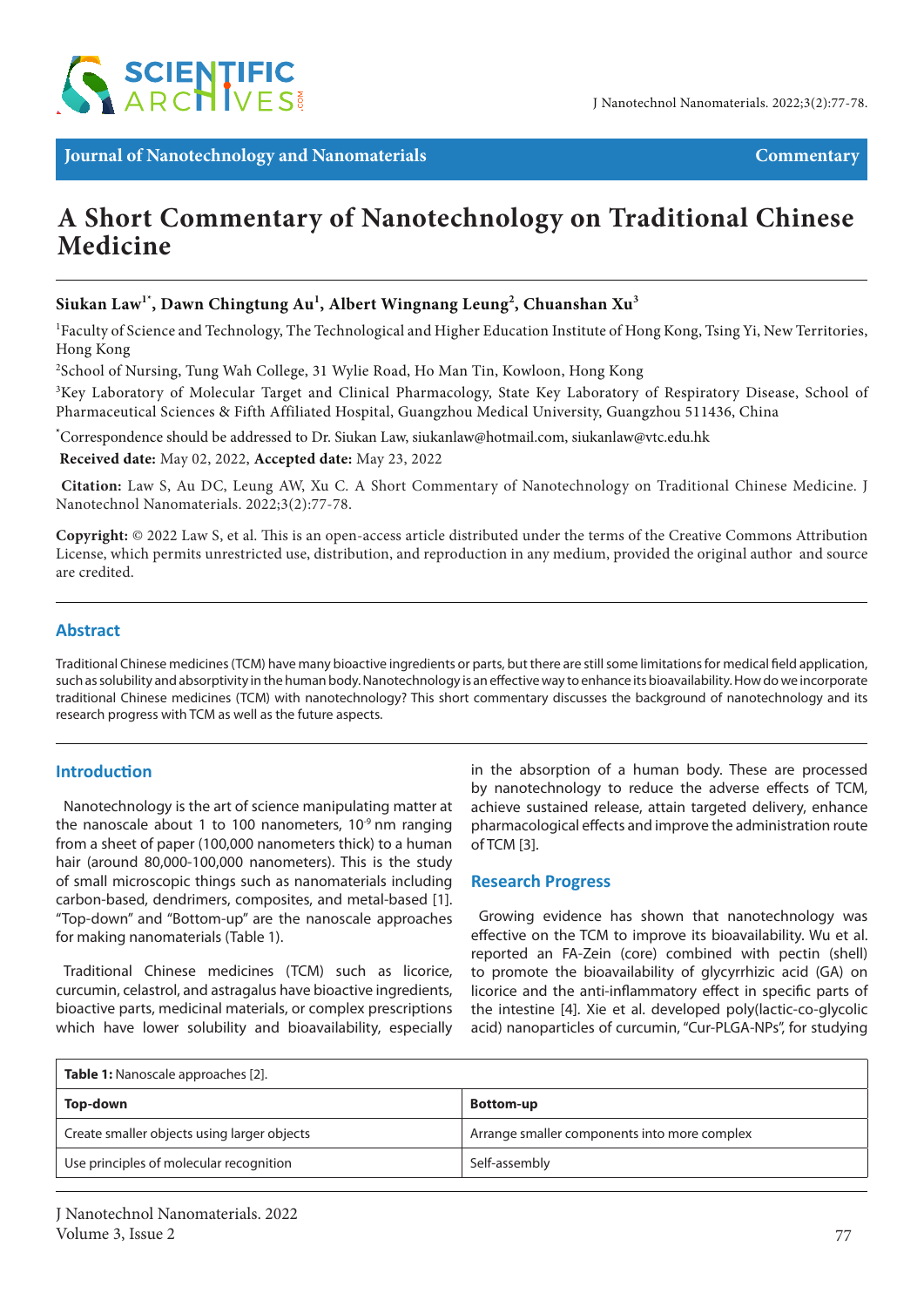

**Journal of Nanotechnology and Nanomaterials Commentary**

# **A Short Commentary of Nanotechnology on Traditional Chinese Medicine**

## **Siukan Law1\*, Dawn Chingtung Au1 , Albert Wingnang Leung2 , Chuanshan Xu3**

<sup>1</sup>Faculty of Science and Technology, The Technological and Higher Education Institute of Hong Kong, Tsing Yi, New Territories, Hong Kong

2 School of Nursing, Tung Wah College, 31 Wylie Road, Ho Man Tin, Kowloon, Hong Kong

<sup>3</sup>Key Laboratory of Molecular Target and Clinical Pharmacology, State Key Laboratory of Respiratory Disease, School of Pharmaceutical Sciences & Fifth Affiliated Hospital, Guangzhou Medical University, Guangzhou 511436, China

**\*** Correspondence should be addressed to Dr. Siukan Law, siukanlaw@hotmail.com, siukanlaw@vtc.edu.hk

 **Received date:** May 02, 2022, **Accepted date:** May 23, 2022

**Citation:** Law S, Au DC, Leung AW, Xu C. A Short Commentary of Nanotechnology on Traditional Chinese Medicine. J Nanotechnol Nanomaterials. 2022;3(2):77-78.

**Copyright:** © 2022 Law S, et al. This is an open-access article distributed under the terms of the Creative Commons Attribution License, which permits unrestricted use, distribution, and reproduction in any medium, provided the original author and source are credited.

#### **Abstract**

Traditional Chinese medicines (TCM) have many bioactive ingredients or parts, but there are still some limitations for medical field application, such as solubility and absorptivity in the human body. Nanotechnology is an effective way to enhance its bioavailability. How do we incorporate traditional Chinese medicines (TCM) with nanotechnology? This short commentary discusses the background of nanotechnology and its research progress with TCM as well as the future aspects.

#### **Introduction**

Nanotechnology is the art of science manipulating matter at the nanoscale about 1 to 100 nanometers,  $10<sup>9</sup>$  nm ranging from a sheet of paper (100,000 nanometers thick) to a human hair (around 80,000-100,000 nanometers). This is the study of small microscopic things such as nanomaterials including carbon-based, dendrimers, composites, and metal-based [1]. "Top-down" and "Bottom-up" are the nanoscale approaches for making nanomaterials (Table 1).

Traditional Chinese medicines (TCM) such as licorice, curcumin, celastrol, and astragalus have bioactive ingredients, bioactive parts, medicinal materials, or complex prescriptions which have lower solubility and bioavailability, especially

in the absorption of a human body. These are processed by nanotechnology to reduce the adverse effects of TCM, achieve sustained release, attain targeted delivery, enhance pharmacological effects and improve the administration route of TCM [3].

#### **Research Progress**

Growing evidence has shown that nanotechnology was effective on the TCM to improve its bioavailability. Wu et al. reported an FA-Zein (core) combined with pectin (shell) to promote the bioavailability of glycyrrhizic acid (GA) on licorice and the anti-inflammatory effect in specific parts of the intestine [4]. Xie et al. developed poly(lactic-co-glycolic acid) nanoparticles of curcumin, "Cur-PLGA-NPs", for studying

| <b>Table 1:</b> Nanoscale approaches [2].   |                                              |
|---------------------------------------------|----------------------------------------------|
| Top-down                                    | <b>Bottom-up</b>                             |
| Create smaller objects using larger objects | Arrange smaller components into more complex |
| Use principles of molecular recognition     | Self-assembly                                |